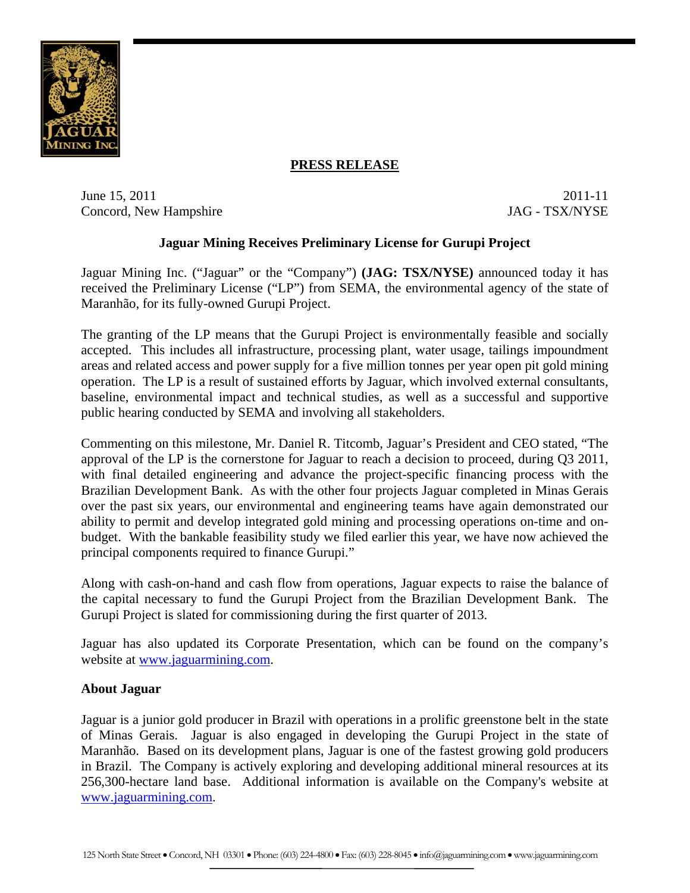

# **PRESS RELEASE**

June 15, 2011 2011-11 Concord, New Hampshire JAG - TSX/NYSE

## **Jaguar Mining Receives Preliminary License for Gurupi Project**

Jaguar Mining Inc. ("Jaguar" or the "Company") **(JAG: TSX/NYSE)** announced today it has received the Preliminary License ("LP") from SEMA, the environmental agency of the state of Maranhão, for its fully-owned Gurupi Project.

The granting of the LP means that the Gurupi Project is environmentally feasible and socially accepted. This includes all infrastructure, processing plant, water usage, tailings impoundment areas and related access and power supply for a five million tonnes per year open pit gold mining operation. The LP is a result of sustained efforts by Jaguar, which involved external consultants, baseline, environmental impact and technical studies, as well as a successful and supportive public hearing conducted by SEMA and involving all stakeholders.

Commenting on this milestone, Mr. Daniel R. Titcomb, Jaguar's President and CEO stated, "The approval of the LP is the cornerstone for Jaguar to reach a decision to proceed, during Q3 2011, with final detailed engineering and advance the project-specific financing process with the Brazilian Development Bank. As with the other four projects Jaguar completed in Minas Gerais over the past six years, our environmental and engineering teams have again demonstrated our ability to permit and develop integrated gold mining and processing operations on-time and onbudget. With the bankable feasibility study we filed earlier this year, we have now achieved the principal components required to finance Gurupi."

Along with cash-on-hand and cash flow from operations, Jaguar expects to raise the balance of the capital necessary to fund the Gurupi Project from the Brazilian Development Bank. The Gurupi Project is slated for commissioning during the first quarter of 2013.

Jaguar has also updated its Corporate Presentation, which can be found on the company's website at www.jaguarmining.com.

## **About Jaguar**

Jaguar is a junior gold producer in Brazil with operations in a prolific greenstone belt in the state of Minas Gerais. Jaguar is also engaged in developing the Gurupi Project in the state of Maranhão. Based on its development plans, Jaguar is one of the fastest growing gold producers in Brazil. The Company is actively exploring and developing additional mineral resources at its 256,300-hectare land base. Additional information is available on the Company's website at www.jaguarmining.com.